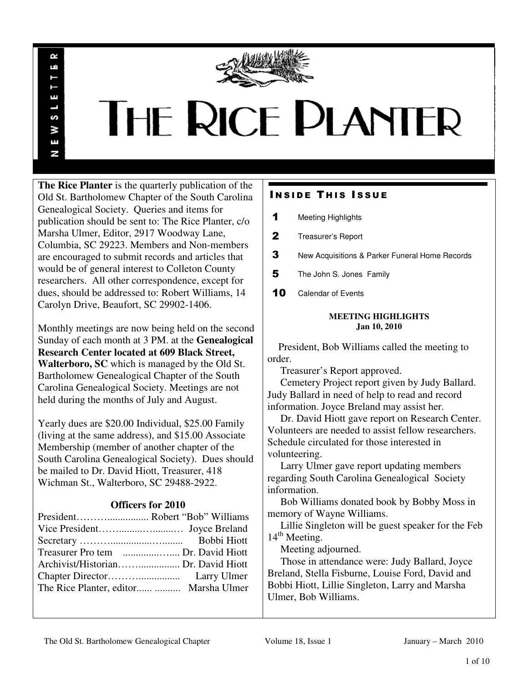

# THE RICE PLANTER

**The Rice Planter** is the quarterly publication of the Old St. Bartholomew Chapter of the South Carolina Genealogical Society. Queries and items for publication should be sent to: The Rice Planter, c/o Marsha Ulmer, Editor, 2917 Woodway Lane, Columbia, SC 29223. Members and Non-members are encouraged to submit records and articles that would be of general interest to Colleton County researchers. All other correspondence, except for dues, should be addressed to: Robert Williams, 14 Carolyn Drive, Beaufort, SC 29902-1406.

R uń

ш

S ⋧ E N

Monthly meetings are now being held on the second Sunday of each month at 3 PM. at the **Genealogical Research Center located at 609 Black Street, Walterboro, SC** which is managed by the Old St. Bartholomew Genealogical Chapter of the South Carolina Genealogical Society. Meetings are not held during the months of July and August.

Yearly dues are \$20.00 Individual, \$25.00 Family (living at the same address), and \$15.00 Associate Membership (member of another chapter of the South Carolina Genealogical Society). Dues should be mailed to Dr. David Hiott, Treasurer, 418 Wichman St., Walterboro, SC 29488-2922.

# **Officers for 2010**

| The Rice Planter, editor  Marsha Ulmer |  |
|----------------------------------------|--|

# **INSIDE THIS ISSUE**

- 1 Meeting Highlights
- 2 Treasurer's Report
- 3 New Acquisitions & Parker Funeral Home Records
- 5 The John S. Jones Family
- 10 Calendar of Events

# **MEETING HIGHLIGHTS Jan 10, 2010**

 President, Bob Williams called the meeting to order.

Treasurer's Report approved.

 Cemetery Project report given by Judy Ballard. Judy Ballard in need of help to read and record information. Joyce Breland may assist her.

 Dr. David Hiott gave report on Research Center. Volunteers are needed to assist fellow researchers. Schedule circulated for those interested in volunteering.

 Larry Ulmer gave report updating members regarding South Carolina Genealogical Society information.

 Bob Williams donated book by Bobby Moss in memory of Wayne Williams.

 Lillie Singleton will be guest speaker for the Feb  $14<sup>th</sup>$  Meeting.

Meeting adjourned.

 Those in attendance were: Judy Ballard, Joyce Breland, Stella Fisburne, Louise Ford, David and Bobbi Hiott, Lillie Singleton, Larry and Marsha Ulmer, Bob Williams.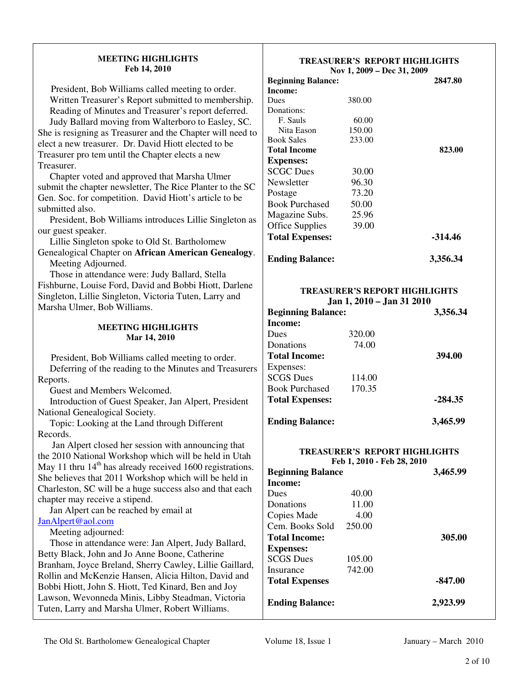| <b>MEETING HIGHLIGHTS</b><br>Feb 14, 2010                                                            |                                  | <b>TREASURER'S REPORT HIGHLIGHTS</b><br>Nov 1, 2009 - Dec 31, 2009 |           |
|------------------------------------------------------------------------------------------------------|----------------------------------|--------------------------------------------------------------------|-----------|
|                                                                                                      | <b>Beginning Balance:</b>        |                                                                    | 2847.80   |
| President, Bob Williams called meeting to order.                                                     | Income:                          |                                                                    |           |
| Written Treasurer's Report submitted to membership.                                                  | <b>Dues</b>                      | 380.00                                                             |           |
| Reading of Minutes and Treasurer's report deferred.                                                  | Donations:                       |                                                                    |           |
| Judy Ballard moving from Walterboro to Easley, SC.                                                   | F. Sauls                         | 60.00                                                              |           |
| She is resigning as Treasurer and the Chapter will need to                                           | Nita Eason<br><b>Book Sales</b>  | 150.00<br>233.00                                                   |           |
| elect a new treasurer. Dr. David Hiott elected to be                                                 | <b>Total Income</b>              |                                                                    | 823.00    |
| Treasurer pro tem until the Chapter elects a new                                                     | <b>Expenses:</b>                 |                                                                    |           |
| Treasurer.                                                                                           | <b>SCGC Dues</b>                 | 30.00                                                              |           |
| Chapter voted and approved that Marsha Ulmer                                                         | Newsletter                       | 96.30                                                              |           |
| submit the chapter newsletter, The Rice Planter to the SC                                            |                                  | 73.20                                                              |           |
| Gen. Soc. for competition. David Hiott's article to be                                               | Postage<br><b>Book Purchased</b> | 50.00                                                              |           |
| submitted also.                                                                                      |                                  |                                                                    |           |
| President, Bob Williams introduces Lillie Singleton as                                               | Magazine Subs.                   | 25.96                                                              |           |
| our guest speaker.                                                                                   | <b>Office Supplies</b>           | 39.00                                                              |           |
| Lillie Singleton spoke to Old St. Bartholomew                                                        | <b>Total Expenses:</b>           |                                                                    | $-314.46$ |
| Genealogical Chapter on African American Genealogy.                                                  |                                  |                                                                    |           |
| Meeting Adjourned.                                                                                   | <b>Ending Balance:</b>           |                                                                    | 3,356.34  |
| Those in attendance were: Judy Ballard, Stella                                                       |                                  |                                                                    |           |
| Fishburne, Louise Ford, David and Bobbi Hiott, Darlene                                               |                                  |                                                                    |           |
| Singleton, Lillie Singleton, Victoria Tuten, Larry and                                               |                                  | <b>TREASURER'S REPORT HIGHLIGHTS</b>                               |           |
| Marsha Ulmer, Bob Williams.                                                                          |                                  | Jan 1, 2010 - Jan 31 2010                                          |           |
|                                                                                                      | <b>Beginning Balance:</b>        |                                                                    | 3,356.34  |
| <b>MEETING HIGHLIGHTS</b>                                                                            | <b>Income:</b>                   |                                                                    |           |
| Mar 14, 2010                                                                                         | Dues                             | 320.00                                                             |           |
|                                                                                                      | Donations                        | 74.00                                                              |           |
| President, Bob Williams called meeting to order.                                                     | <b>Total Income:</b>             |                                                                    | 394.00    |
| Deferring of the reading to the Minutes and Treasurers                                               | Expenses:                        |                                                                    |           |
| Reports.                                                                                             | <b>SCGS</b> Dues                 | 114.00                                                             |           |
| Guest and Members Welcomed.                                                                          | <b>Book Purchased</b>            | 170.35                                                             |           |
| Introduction of Guest Speaker, Jan Alpert, President                                                 | <b>Total Expenses:</b>           |                                                                    | $-284.35$ |
| National Genealogical Society.                                                                       |                                  |                                                                    |           |
| Topic: Looking at the Land through Different                                                         | <b>Ending Balance:</b>           |                                                                    | 3,465.99  |
| Records.                                                                                             |                                  |                                                                    |           |
| Jan Alpert closed her session with announcing that                                                   |                                  |                                                                    |           |
| the 2010 National Workshop which will be held in Utah                                                |                                  | TREASURER'S REPORT HIGHLIGHTS                                      |           |
| May 11 thru 14 <sup>th</sup> has already received 1600 registrations.                                |                                  | Feb 1, 2010 - Feb 28, 2010                                         |           |
| She believes that 2011 Workshop which will be held in                                                | <b>Beginning Balance</b>         |                                                                    | 3,465.99  |
| Charleston, SC will be a huge success also and that each                                             | <b>Income:</b>                   |                                                                    |           |
| chapter may receive a stipend.                                                                       | Dues                             | 40.00                                                              |           |
| Jan Alpert can be reached by email at                                                                | Donations                        | 11.00                                                              |           |
| JanAlpert@aol.com                                                                                    | Copies Made                      | 4.00                                                               |           |
| Meeting adjourned:                                                                                   | Cem. Books Sold                  | 250.00                                                             |           |
| Those in attendance were: Jan Alpert, Judy Ballard,                                                  | <b>Total Income:</b>             |                                                                    | 305.00    |
|                                                                                                      | <b>Expenses:</b>                 |                                                                    |           |
| Betty Black, John and Jo Anne Boone, Catherine                                                       | <b>SCGS</b> Dues                 | 105.00                                                             |           |
| Branham, Joyce Breland, Sherry Cawley, Lillie Gaillard,                                              | Insurance                        | 742.00                                                             |           |
| Rollin and McKenzie Hansen, Alicia Hilton, David and                                                 | <b>Total Expenses</b>            |                                                                    | $-847.00$ |
| Bobbi Hiott, John S. Hiott, Ted Kinard, Ben and Joy                                                  |                                  |                                                                    |           |
| Lawson, Wevonneda Minis, Libby Steadman, Victoria<br>Tuten, Larry and Marsha Ulmer, Robert Williams. | <b>Ending Balance:</b>           |                                                                    | 2,923.99  |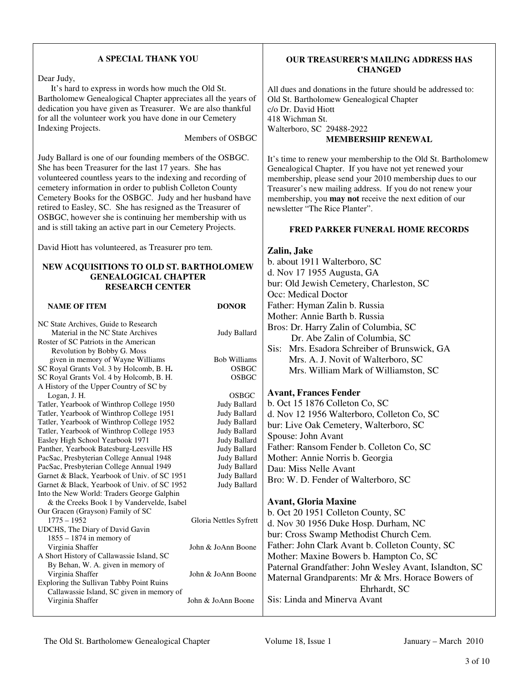# **A SPECIAL THANK YOU**

Dear Judy,

 It's hard to express in words how much the Old St. Bartholomew Genealogical Chapter appreciates all the years of dedication you have given as Treasurer. We are also thankful for all the volunteer work you have done in our Cemetery Indexing Projects.

Members of OSBGC

**OUR TREASURER'S MAILING ADDRESS HAS CHANGED** 

**MEMBERSHIP RENEWAL**

It's time to renew your membership to the Old St. Bartholomew Genealogical Chapter. If you have not yet renewed your membership, please send your 2010 membership dues to our Treasurer's new mailing address. If you do not renew your membership, you **may not** receive the next edition of our

**FRED PARKER FUNERAL HOME RECORDS** 

All dues and donations in the future should be addressed to:

Old St. Bartholomew Genealogical Chapter

c/o Dr. David Hiott 418 Wichman St.

Walterboro, SC 29488-2922

newsletter "The Rice Planter".

b. about 1911 Walterboro, SC d. Nov 17 1955 Augusta, GA

bur: Old Jewish Cemetery, Charleston, SC

**Zalin, Jake** 

Judy Ballard is one of our founding members of the OSBGC. She has been Treasurer for the last 17 years. She has volunteered countless years to the indexing and recording of cemetery information in order to publish Colleton County Cemetery Books for the OSBGC. Judy and her husband have retired to Easley, SC. She has resigned as the Treasurer of OSBGC, however she is continuing her membership with us and is still taking an active part in our Cemetery Projects.

David Hiott has volunteered, as Treasurer pro tem.

# **NEW ACQUISITIONS TO OLD ST. BARTHOLOMEW GENEALOGICAL CHAPTER RESEARCH CENTER**

|                                                               |                        | Occ: Medical Doctor                                    |
|---------------------------------------------------------------|------------------------|--------------------------------------------------------|
| <b>NAME OF ITEM</b>                                           | <b>DONOR</b>           | Father: Hyman Zalin b. Russia                          |
|                                                               |                        | Mother: Annie Barth b. Russia                          |
| NC State Archives, Guide to Research                          |                        | Bros: Dr. Harry Zalin of Columbia, SC                  |
| Material in the NC State Archives                             | Judy Ballard           |                                                        |
| Roster of SC Patriots in the American                         |                        | Dr. Abe Zalin of Columbia, SC                          |
| Revolution by Bobby G. Moss                                   |                        | Mrs. Esadora Schreiber of Brunswick, GA<br>Sis:        |
| given in memory of Wayne Williams                             | <b>Bob Williams</b>    | Mrs. A. J. Novit of Walterboro, SC                     |
| SC Royal Grants Vol. 3 by Holcomb, B. H.                      | <b>OSBGC</b>           | Mrs. William Mark of Williamston, SC                   |
| SC Royal Grants Vol. 4 by Holcomb, B. H.                      | <b>OSBGC</b>           |                                                        |
| A History of the Upper Country of SC by                       |                        |                                                        |
| Logan, J. H.                                                  | <b>OSBGC</b>           | <b>Avant, Frances Fender</b>                           |
| Tatler, Yearbook of Winthrop College 1950                     | Judy Ballard           | b. Oct 15 1876 Colleton Co, SC                         |
| Tatler, Yearbook of Winthrop College 1951                     | <b>Judy Ballard</b>    | d. Nov 12 1956 Walterboro, Colleton Co, SC             |
| Tatler, Yearbook of Winthrop College 1952                     | Judy Ballard           | bur: Live Oak Cemetery, Walterboro, SC                 |
| Tatler, Yearbook of Winthrop College 1953                     | Judy Ballard           | Spouse: John Avant                                     |
| Easley High School Yearbook 1971                              | Judy Ballard           |                                                        |
| Panther, Yearbook Batesburg-Leesville HS                      | Judy Ballard           | Father: Ransom Fender b. Colleton Co, SC               |
| PacSac, Presbyterian College Annual 1948                      | <b>Judy Ballard</b>    | Mother: Annie Norris b. Georgia                        |
| PacSac, Presbyterian College Annual 1949                      | <b>Judy Ballard</b>    | Dau: Miss Nelle Avant                                  |
| Garnet & Black, Yearbook of Univ. of SC 1951                  | Judy Ballard           | Bro: W. D. Fender of Walterboro, SC                    |
| Garnet & Black, Yearbook of Univ. of SC 1952                  | Judy Ballard           |                                                        |
| Into the New World: Traders George Galphin                    |                        |                                                        |
| & the Creeks Book 1 by Vandervelde, Isabel                    |                        | <b>Avant, Gloria Maxine</b>                            |
| Our Gracen (Grayson) Family of SC                             |                        | b. Oct 20 1951 Colleton County, SC                     |
| $1775 - 1952$                                                 | Gloria Nettles Syfrett | d. Nov 30 1956 Duke Hosp. Durham, NC                   |
| UDCHS, The Diary of David Gavin<br>$1855 - 1874$ in memory of |                        | bur: Cross Swamp Methodist Church Cem.                 |
| Virginia Shaffer                                              | John & JoAnn Boone     | Father: John Clark Avant b. Colleton County, SC        |
| A Short History of Callawassie Island, SC                     |                        | Mother: Maxine Bowers b. Hampton Co, SC                |
| By Behan, W. A. given in memory of                            |                        |                                                        |
| Virginia Shaffer                                              | John & JoAnn Boone     | Paternal Grandfather: John Wesley Avant, Islandton, SC |
| Exploring the Sullivan Tabby Point Ruins                      |                        | Maternal Grandparents: Mr & Mrs. Horace Bowers of      |
| Callawassie Island, SC given in memory of                     |                        | Ehrhardt, SC                                           |
| Virginia Shaffer                                              | John & JoAnn Boone     | Sis: Linda and Minerva Avant                           |
|                                                               |                        |                                                        |

The Old St. Bartholomew Genealogical Chapter Volume 18, Issue 1 January – March 2010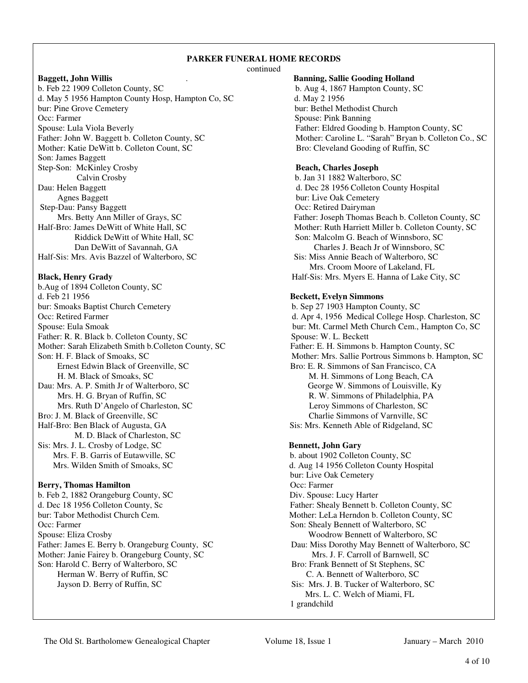# **PARKER FUNERAL HOME RECORDS**

continued

b. Feb 22 1909 Colleton County, SC b. Aug 4, 1867 Hampton County, SC d. May 5 1956 Hampton County Hosp, Hampton Co, SC d. May 2 1956 bur: Pine Grove Cemetery **bur: Bethel Methodist Church** bur: Bethel Methodist Church Occ: Farmer Spouse: Pink Banning Spouse: Lula Viola Beverly<br>
Father: Eldred Gooding b. Hampton County, SC<br>
Father: Laroline L. "Sarah" Bryan b. Colleton County, SC<br>
Mother: Caroline L. "Sarah" Bryan b. Colleton C Mother: Katie DeWitt b. Colleton Count, SC Bro: Cleveland Gooding of Ruffin, SC Son: James Baggett Step-Son: McKinley Crosby **Beach, Charles Joseph** Calvin Crosby b. Jan 31 1882 Walterboro, SC Dau: Helen Baggett d. Dec 28 1956 Colleton County Hospital Agnes Baggett bur: Live Oak Cemetery Step-Dau: Pansy Baggett Occ: Retired Dairyman<br>Mrs. Betty Ann Miller of Grays, SC Father: Joseph Thomas 1 Half-Bro: James DeWitt of White Hall, SC Mother: Ruth Harriett Miller b. Colleton County, SC Half-Sis: Mrs. Avis Bazzel of Walterboro, SC Sis: Miss Annie Beach of Walterboro, SC

b.Aug of 1894 Colleton County, SC d. Feb 21 1956 **Beckett, Evelyn Simmons**  bur: Smoaks Baptist Church Cemetery b. Sep 27 1903 Hampton County, SC Father: R. R. Black b. Colleton County, SC Mother: Sarah Elizabeth Smith b.Colleton County, SC Father: E. H. Simmons b. Hampton County, SC Ernest Edwin Black of Greenville, SC Bro: E. R. Simmons of San Francisco, CA H. M. Black of Smoaks, SC M. H. Simmons of Long Beach, CA Dau: Mrs. A. P. Smith Jr of Walterboro, SC George W. Simmons of Louisville, Ky Mrs. H. G. Bryan of Ruffin, SC R. W. Simmons of Philadelphia, PA Mrs. Ruth D'Angelo of Charleston, SC Leroy Simmons of Charleston, SC Bro: J. M. Black of Greenville, SC Charlie Simmons of Varnville, SC Charlie Simmons of Varnville, SC Half-Bro: Ben Black of Augusta, GA Sis: Mrs. Kenneth Able of Ridgeland, SC M. D. Black of Charleston, SC Sis: Mrs. J. L. Crosby of Lodge, SC **Bennett, John Gary** Mrs. Wilden Smith of Smoaks, SC d. Aug 14 1956 Colleton County Hospital

# **Berry, Thomas Hamilton Company Company Occ: Farmer Occ: Farmer**

b. Feb 2, 1882 Orangeburg County, SC Div. Spouse: Lucy Harter d. Dec 18 1956 Colleton County, Sc Father: Shealy Bennett b. Colleton County, SC bur: Tabor Methodist Church Cem. Mother: LeLa Herndon b. Colleton County, SC Occ: Farmer Son: Shealy Bennett of Walterboro, SC Spouse: Eliza Crosby Woodrow Bennett of Walterboro, SC Mother: Janie Fairey b. Orangeburg County, SC Mrs. J. F. Carroll of Barnwell, SC Son: Harold C. Berry of Walterboro, SC<br>
Herman W. Berry of Ruffin, SC<br>
C. A. Bennett of Walterboro, SC Herman W. Berry of Ruffin, SC. Jayson D. Berry of Ruffin, SC Sis: Mrs. J. B. Tucker of Walterboro, SC

# **Baggett, John Willis** . **Banning, Sallie Gooding Holland**

Mother: Caroline L. "Sarah" Bryan b. Colleton Co., SC

Father: Joseph Thomas Beach b. Colleton County, SC Riddick DeWitt of White Hall, SC Son: Malcolm G. Beach of Winnsboro, SC Dan DeWitt of Savannah, GA Charles J. Beach Jr of Winnsboro, SC Mrs. Croom Moore of Lakeland, FL **Black, Henry Grady 19 Contract Acts 20 Contract Acts 20 Contract Acts 20 Contract Acts 20 Contract Acts 20 Contract Acts 20 Contract Acts 20 Contract Acts 20 Contract Acts 20 Contract Acts 20 Contract Acts 20 Contract Act** 

Occ: Retired Farmer d. Apr 4, 1956 Medical College Hosp. Charleston, SC Spouse: Eula Smoak bur: Mt. Carmel Meth Church Cem., Hampton Co, SC<br>Father: R. R. Black b. Colleton County, SC Spouse: W. L. Beckett Son: H. F. Black of Smoaks, SC Mother: Mrs. Sallie Portrous Simmons b. Hampton, SC

b. about 1902 Colleton County, SC bur: Live Oak Cemetery Father: James E. Berry b. Orangeburg County, SC Dau: Miss Dorothy May Bennett of Walterboro, SC Mrs. L. C. Welch of Miami, FL 1 grandchild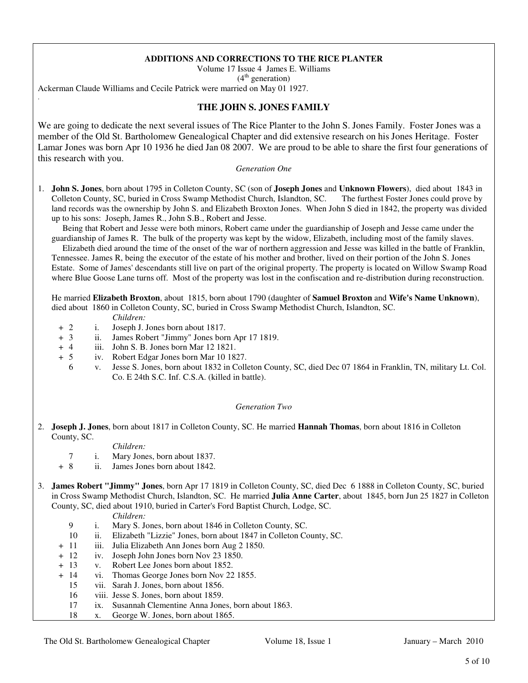# **ADDITIONS AND CORRECTIONS TO THE RICE PLANTER**

Volume 17 Issue 4 James E. Williams

 $(4<sup>th</sup> generation)$ 

Ackerman Claude Williams and Cecile Patrick were married on May 01 1927.

# **THE JOHN S. JONES FAMILY**

We are going to dedicate the next several issues of The Rice Planter to the John S. Jones Family. Foster Jones was a member of the Old St. Bartholomew Genealogical Chapter and did extensive research on his Jones Heritage. Foster Lamar Jones was born Apr 10 1936 he died Jan 08 2007. We are proud to be able to share the first four generations of this research with you.

### *Generation One*

1. **John S. Jones**, born about 1795 in Colleton County, SC (son of **Joseph Jones** and **Unknown Flowers**), died about 1843 in Colleton County, SC, buried in Cross Swamp Methodist Church, Islandton, SC. The furthest Foster Jones could prove by land records was the ownership by John S. and Elizabeth Broxton Jones. When John S died in 1842, the property was divided up to his sons: Joseph, James R., John S.B., Robert and Jesse.

 Being that Robert and Jesse were both minors, Robert came under the guardianship of Joseph and Jesse came under the guardianship of James R. The bulk of the property was kept by the widow, Elizabeth, including most of the family slaves.

 Elizabeth died around the time of the onset of the war of northern aggression and Jesse was killed in the battle of Franklin, Tennessee. James R, being the executor of the estate of his mother and brother, lived on their portion of the John S. Jones Estate. Some of James' descendants still live on part of the original property. The property is located on Willow Swamp Road where Blue Goose Lane turns off. Most of the property was lost in the confiscation and re-distribution during reconstruction.

 He married **Elizabeth Broxton**, about 1815, born about 1790 (daughter of **Samuel Broxton** and **Wife's Name Unknown**), died about 1860 in Colleton County, SC, buried in Cross Swamp Methodist Church, Islandton, SC.

*Children:*

.

- + 2 i. Joseph J. Jones born about 1817.
- + 3 ii. James Robert "Jimmy" Jones born Apr 17 1819.<br>+ 4 iii. John S. B. Jones born Mar 12 1821.
- iii. John S. B. Jones born Mar 12 1821.
- + 5 iv. Robert Edgar Jones born Mar 10 1827.
	- 6 v. Jesse S. Jones, born about 1832 in Colleton County, SC, died Dec 07 1864 in Franklin, TN, military Lt. Col. Co. E 24th S.C. Inf. C.S.A. (killed in battle).

### *Generation Two*

2. **Joseph J. Jones**, born about 1817 in Colleton County, SC. He married **Hannah Thomas**, born about 1816 in Colleton County, SC.

*Children:*

- 7 i. Mary Jones, born about 1837.
- + 8 ii. James Jones born about 1842.
- 3. **James Robert "Jimmy" Jones**, born Apr 17 1819 in Colleton County, SC, died Dec 6 1888 in Colleton County, SC, buried in Cross Swamp Methodist Church, Islandton, SC. He married **Julia Anne Carter**, about 1845, born Jun 25 1827 in Colleton County, SC, died about 1910, buried in Carter's Ford Baptist Church, Lodge, SC.

- 9 i. Mary S. Jones, born about 1846 in Colleton County, SC.
- 10 ii. Elizabeth "Lizzie" Jones, born about 1847 in Colleton County, SC.
- + 11 iii. Julia Elizabeth Ann Jones born Aug 2 1850.
- + 12 iv. Joseph John Jones born Nov 23 1850.
- + 13 v. Robert Lee Jones born about 1852.
- + 14 vi. Thomas George Jones born Nov 22 1855.
	- 15 vii. Sarah J. Jones, born about 1856.
	- 16 viii. Jesse S. Jones, born about 1859.
	- 17 ix. Susannah Clementine Anna Jones, born about 1863.
	- 18 x. George W. Jones, born about 1865.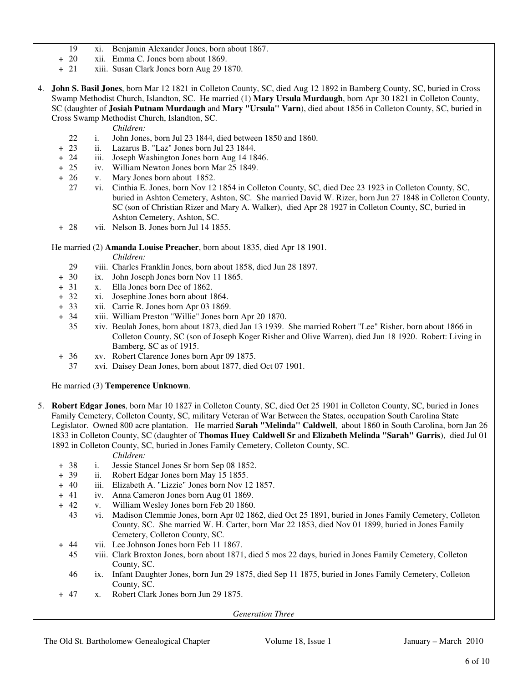- 19 xi. Benjamin Alexander Jones, born about 1867.
- + 20 xii. Emma C. Jones born about 1869.
- + 21 xiii. Susan Clark Jones born Aug 29 1870.
- 4. **John S. Basil Jones**, born Mar 12 1821 in Colleton County, SC, died Aug 12 1892 in Bamberg County, SC, buried in Cross Swamp Methodist Church, Islandton, SC. He married (1) **Mary Ursula Murdaugh**, born Apr 30 1821 in Colleton County, SC (daughter of **Josiah Putnam Murdaugh** and **Mary "Ursula" Varn**), died about 1856 in Colleton County, SC, buried in Cross Swamp Methodist Church, Islandton, SC.
	- *Children:*
	- 22 i. John Jones, born Jul 23 1844, died between 1850 and 1860.
	- + 23 ii. Lazarus B. "Laz" Jones born Jul 23 1844.
	- + 24 iii. Joseph Washington Jones born Aug 14 1846.
	- + 25 iv. William Newton Jones born Mar 25 1849.
	- + 26 v. Mary Jones born about 1852.
		- 27 vi. Cinthia E. Jones, born Nov 12 1854 in Colleton County, SC, died Dec 23 1923 in Colleton County, SC, buried in Ashton Cemetery, Ashton, SC. She married David W. Rizer, born Jun 27 1848 in Colleton County, SC (son of Christian Rizer and Mary A. Walker), died Apr 28 1927 in Colleton County, SC, buried in Ashton Cemetery, Ashton, SC.
	- + 28 vii. Nelson B. Jones born Jul 14 1855.

He married (2) **Amanda Louise Preacher**, born about 1835, died Apr 18 1901.

*Children:*

- 29 viii. Charles Franklin Jones, born about 1858, died Jun 28 1897.<br>  $+ 30$  ix. John Joseph Jones born Nov 11 1865.
- ix. John Joseph Jones born Nov 11 1865.
- + 31 x. Ella Jones born Dec of 1862.
- + 32 xi. Josephine Jones born about 1864.
- + 33 xii. Carrie R. Jones born Apr 03 1869.
- + 34 xiii. William Preston "Willie" Jones born Apr 20 1870.
	- 35 xiv. Beulah Jones, born about 1873, died Jan 13 1939. She married Robert "Lee" Risher, born about 1866 in Colleton County, SC (son of Joseph Koger Risher and Olive Warren), died Jun 18 1920. Robert: Living in Bamberg, SC as of 1915.
- + 36 xv. Robert Clarence Jones born Apr 09 1875.
	- 37 xvi. Daisey Dean Jones, born about 1877, died Oct 07 1901.

He married (3) **Temperence Unknown**.

- 5. **Robert Edgar Jones**, born Mar 10 1827 in Colleton County, SC, died Oct 25 1901 in Colleton County, SC, buried in Jones Family Cemetery, Colleton County, SC, military Veteran of War Between the States, occupation South Carolina State Legislator. Owned 800 acre plantation. He married **Sarah "Melinda" Caldwell**, about 1860 in South Carolina, born Jan 26 1833 in Colleton County, SC (daughter of **Thomas Huey Caldwell Sr** and **Elizabeth Melinda "Sarah" Garris**), died Jul 01 1892 in Colleton County, SC, buried in Jones Family Cemetery, Colleton County, SC.
	- *Children:*
	- + 38 i. Jessie Stancel Jones Sr born Sep 08 1852.
	- + 39 ii. Robert Edgar Jones born May 15 1855.
	- + 40 iii. Elizabeth A. "Lizzie" Jones born Nov 12 1857.
	- + 41 iv. Anna Cameron Jones born Aug 01 1869.
	- + 42 v. William Wesley Jones born Feb 20 1860.
		- 43 vi. Madison Clemmie Jones, born Apr 02 1862, died Oct 25 1891, buried in Jones Family Cemetery, Colleton County, SC. She married W. H. Carter, born Mar 22 1853, died Nov 01 1899, buried in Jones Family Cemetery, Colleton County, SC.
	- + 44 vii. Lee Johnson Jones born Feb 11 1867.
		- 45 viii. Clark Broxton Jones, born about 1871, died 5 mos 22 days, buried in Jones Family Cemetery, Colleton County, SC.
		- 46 ix. Infant Daughter Jones, born Jun 29 1875, died Sep 11 1875, buried in Jones Family Cemetery, Colleton County, SC.
	- + 47 x. Robert Clark Jones born Jun 29 1875.

*Generation Three*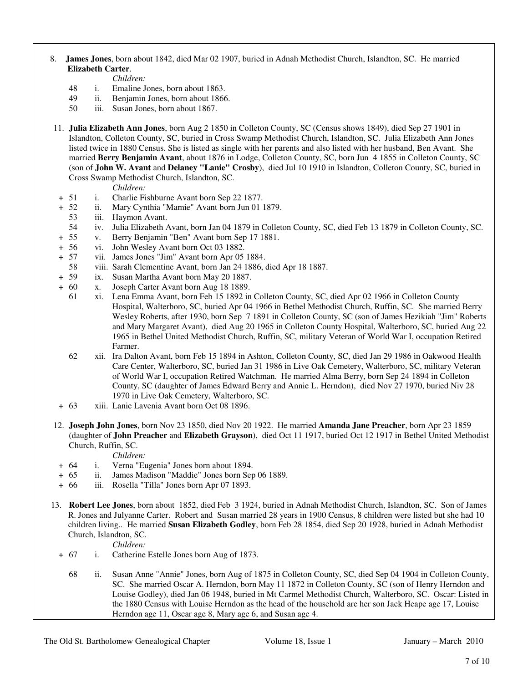# 8. **James Jones**, born about 1842, died Mar 02 1907, buried in Adnah Methodist Church, Islandton, SC. He married  **Elizabeth Carter**.

- *Children:*
- 48 i. Emaline Jones, born about 1863.
- 49 ii. Benjamin Jones, born about 1866.
- 50 iii. Susan Jones, born about 1867.
- 11. **Julia Elizabeth Ann Jones**, born Aug 2 1850 in Colleton County, SC (Census shows 1849), died Sep 27 1901 in Islandton, Colleton County, SC, buried in Cross Swamp Methodist Church, Islandton, SC. Julia Elizabeth Ann Jones listed twice in 1880 Census. She is listed as single with her parents and also listed with her husband, Ben Avant. She married **Berry Benjamin Avant**, about 1876 in Lodge, Colleton County, SC, born Jun 4 1855 in Colleton County, SC (son of **John W. Avant** and **Delaney "Lanie" Crosby**), died Jul 10 1910 in Islandton, Colleton County, SC, buried in Cross Swamp Methodist Church, Islandton, SC.

*Children:*

- + 51 i. Charlie Fishburne Avant born Sep 22 1877.
- + 52 ii. Mary Cynthia "Mamie" Avant born Jun 01 1879.
	- 53 iii. Haymon Avant.
	- 54 iv. Julia Elizabeth Avant, born Jan 04 1879 in Colleton County, SC, died Feb 13 1879 in Colleton County, SC.
- + 55 v. Berry Benjamin "Ben" Avant born Sep 17 1881.
- + 56 vi. John Wesley Avant born Oct 03 1882.
- + 57 vii. James Jones "Jim" Avant born Apr 05 1884.
- 58 viii. Sarah Clementine Avant, born Jan 24 1886, died Apr 18 1887.<br>+ 59 ix. Susan Martha Avant born May 20 1887.
- ix. Susan Martha Avant born May 20 1887.
- + 60 x. Joseph Carter Avant born Aug 18 1889.
	- 61 xi. Lena Emma Avant, born Feb 15 1892 in Colleton County, SC, died Apr 02 1966 in Colleton County Hospital, Walterboro, SC, buried Apr 04 1966 in Bethel Methodist Church, Ruffin, SC. She married Berry Wesley Roberts, after 1930, born Sep 7 1891 in Colleton County, SC (son of James Hezikiah "Jim" Roberts and Mary Margaret Avant), died Aug 20 1965 in Colleton County Hospital, Walterboro, SC, buried Aug 22 1965 in Bethel United Methodist Church, Ruffin, SC, military Veteran of World War I, occupation Retired Farmer.
	- 62 xii. Ira Dalton Avant, born Feb 15 1894 in Ashton, Colleton County, SC, died Jan 29 1986 in Oakwood Health Care Center, Walterboro, SC, buried Jan 31 1986 in Live Oak Cemetery, Walterboro, SC, military Veteran of World War I, occupation Retired Watchman. He married Alma Berry, born Sep 24 1894 in Colleton County, SC (daughter of James Edward Berry and Annie L. Herndon), died Nov 27 1970, buried Niv 28 1970 in Live Oak Cemetery, Walterboro, SC.
- + 63 xiii. Lanie Lavenia Avant born Oct 08 1896.
- 12. **Joseph John Jones**, born Nov 23 1850, died Nov 20 1922. He married **Amanda Jane Preacher**, born Apr 23 1859 (daughter of **John Preacher** and **Elizabeth Grayson**), died Oct 11 1917, buried Oct 12 1917 in Bethel United Methodist Church, Ruffin, SC.
	- *Children:*
- + 64 i. Verna "Eugenia" Jones born about 1894.
- + 65 ii. James Madison "Maddie" Jones born Sep 06 1889.
- + 66 iii. Rosella "Tilla" Jones born Apr 07 1893.
- 13. **Robert Lee Jones**, born about 1852, died Feb 3 1924, buried in Adnah Methodist Church, Islandton, SC. Son of James R. Jones and Julyanne Carter. Robert and Susan married 28 years in 1900 Census, 8 children were listed but she had 10 children living.. He married **Susan Elizabeth Godley**, born Feb 28 1854, died Sep 20 1928, buried in Adnah Methodist Church, Islandton, SC.

- + 67 i. Catherine Estelle Jones born Aug of 1873.
	- 68 ii. Susan Anne "Annie" Jones, born Aug of 1875 in Colleton County, SC, died Sep 04 1904 in Colleton County, SC. She married Oscar A. Herndon, born May 11 1872 in Colleton County, SC (son of Henry Herndon and Louise Godley), died Jan 06 1948, buried in Mt Carmel Methodist Church, Walterboro, SC. Oscar: Listed in the 1880 Census with Louise Herndon as the head of the household are her son Jack Heape age 17, Louise Herndon age 11, Oscar age 8, Mary age 6, and Susan age 4.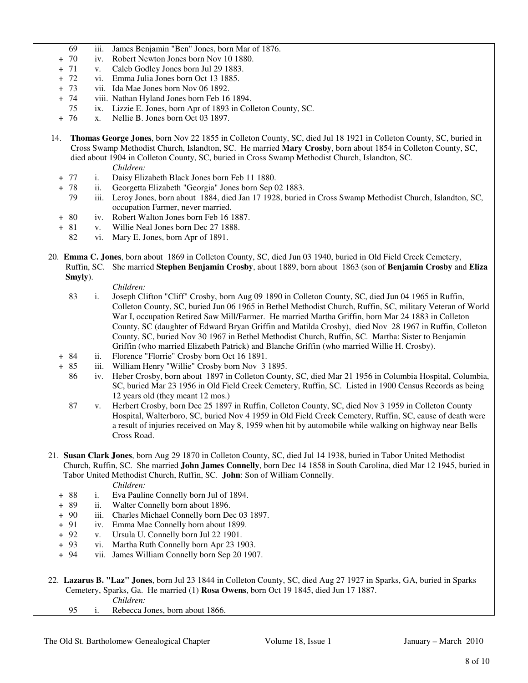- 69 iii. James Benjamin "Ben" Jones, born Mar of 1876.
- + 70 iv. Robert Newton Jones born Nov 10 1880.
- + 71 v. Caleb Godley Jones born Jul 29 1883.
- + 72 vi. Emma Julia Jones born Oct 13 1885.
- + 73 vii. Ida Mae Jones born Nov 06 1892.
- + 74 viii. Nathan Hyland Jones born Feb 16 1894.
- 75 ix. Lizzie E. Jones, born Apr of 1893 in Colleton County, SC.
- + 76 x. Nellie B. Jones born Oct 03 1897.
- 14. **Thomas George Jones**, born Nov 22 1855 in Colleton County, SC, died Jul 18 1921 in Colleton County, SC, buried in Cross Swamp Methodist Church, Islandton, SC. He married **Mary Crosby**, born about 1854 in Colleton County, SC, died about 1904 in Colleton County, SC, buried in Cross Swamp Methodist Church, Islandton, SC.
	- *Children:*
	- + 77 i. Daisy Elizabeth Black Jones born Feb 11 1880.
	- + 78 ii. Georgetta Elizabeth "Georgia" Jones born Sep 02 1883.
		- 79 iii. Leroy Jones, born about 1884, died Jan 17 1928, buried in Cross Swamp Methodist Church, Islandton, SC, occupation Farmer, never married.
	- + 80 iv. Robert Walton Jones born Feb 16 1887.
	- + 81 v. Willie Neal Jones born Dec 27 1888.
	- 82 vi. Mary E. Jones, born Apr of 1891.
- 20. **Emma C. Jones**, born about 1869 in Colleton County, SC, died Jun 03 1940, buried in Old Field Creek Cemetery, Ruffin, SC. She married **Stephen Benjamin Crosby**, about 1889, born about 1863 (son of **Benjamin Crosby** and **Eliza Smyly**).

- 83 i. Joseph Clifton "Cliff" Crosby, born Aug 09 1890 in Colleton County, SC, died Jun 04 1965 in Ruffin, Colleton County, SC, buried Jun 06 1965 in Bethel Methodist Church, Ruffin, SC, military Veteran of World War I, occupation Retired Saw Mill/Farmer. He married Martha Griffin, born Mar 24 1883 in Colleton County, SC (daughter of Edward Bryan Griffin and Matilda Crosby), died Nov 28 1967 in Ruffin, Colleton County, SC, buried Nov 30 1967 in Bethel Methodist Church, Ruffin, SC. Martha: Sister to Benjamin Griffin (who married Elizabeth Patrick) and Blanche Griffin (who married Willie H. Crosby).
- + 84 ii. Florence "Florrie" Crosby born Oct 16 1891.
- + 85 iii. William Henry "Willie" Crosby born Nov 3 1895.
	- 86 iv. Heber Crosby, born about 1897 in Colleton County, SC, died Mar 21 1956 in Columbia Hospital, Columbia, SC, buried Mar 23 1956 in Old Field Creek Cemetery, Ruffin, SC. Listed in 1900 Census Records as being 12 years old (they meant 12 mos.)
	- 87 v. Herbert Crosby, born Dec 25 1897 in Ruffin, Colleton County, SC, died Nov 3 1959 in Colleton County Hospital, Walterboro, SC, buried Nov 4 1959 in Old Field Creek Cemetery, Ruffin, SC, cause of death were a result of injuries received on May 8, 1959 when hit by automobile while walking on highway near Bells Cross Road.
- 21. **Susan Clark Jones**, born Aug 29 1870 in Colleton County, SC, died Jul 14 1938, buried in Tabor United Methodist Church, Ruffin, SC. She married **John James Connelly**, born Dec 14 1858 in South Carolina, died Mar 12 1945, buried in Tabor United Methodist Church, Ruffin, SC. **John**: Son of William Connelly. *Children:*
	- + 88 i. Eva Pauline Connelly born Jul of 1894.
	- + 89 ii. Walter Connelly born about 1896.
	- + 90 iii. Charles Michael Connelly born Dec 03 1897.
	- + 91 iv. Emma Mae Connelly born about 1899.
	- + 92 v. Ursula U. Connelly born Jul 22 1901.
	- + 93 vi. Martha Ruth Connelly born Apr 23 1903.
	- + 94 vii. James William Connelly born Sep 20 1907.
- 22. **Lazarus B. "Laz" Jones**, born Jul 23 1844 in Colleton County, SC, died Aug 27 1927 in Sparks, GA, buried in Sparks Cemetery, Sparks, Ga. He married (1) **Rosa Owens**, born Oct 19 1845, died Jun 17 1887. *Children:*
	- 95 i. Rebecca Jones, born about 1866.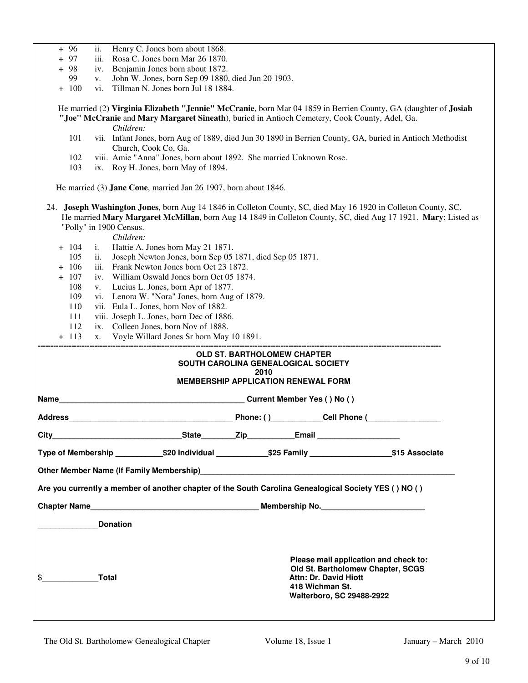- + 96 ii. Henry C. Jones born about 1868.
- + 97 iii. Rosa C. Jones born Mar 26 1870.
- + 98 iv. Benjamin Jones born about 1872.
	- 99 v. John W. Jones, born Sep 09 1880, died Jun 20 1903.
- + 100 vi. Tillman N. Jones born Jul 18 1884.

 He married (2) **Virginia Elizabeth "Jennie" McCranie**, born Mar 04 1859 in Berrien County, GA (daughter of **Josiah "Joe" McCranie** and **Mary Margaret Sineath**), buried in Antioch Cemetery, Cook County, Adel, Ga.

*Children:*

- 101 vii. Infant Jones, born Aug of 1889, died Jun 30 1890 in Berrien County, GA, buried in Antioch Methodist Church, Cook Co, Ga.
- 102 viii. Amie "Anna" Jones, born about 1892. She married Unknown Rose.
- 103 ix. Roy H. Jones, born May of 1894.

He married (3) **Jane Cone**, married Jan 26 1907, born about 1846.

 24. **Joseph Washington Jones**, born Aug 14 1846 in Colleton County, SC, died May 16 1920 in Colleton County, SC. He married **Mary Margaret McMillan**, born Aug 14 1849 in Colleton County, SC, died Aug 17 1921. **Mary**: Listed as "Polly" in 1900 Census.

- + 104 i. Hattie A. Jones born May 21 1871.
- 105 ii. Joseph Newton Jones, born Sep 05 1871, died Sep 05 1871.
- + 106 iii. Frank Newton Jones born Oct 23 1872.
- + 107 iv. William Oswald Jones born Oct 05 1874.
	- 108 v. Lucius L. Jones, born Apr of 1877.
	- 109 vi. Lenora W. "Nora" Jones, born Aug of 1879.
	- 110 vii. Eula L. Jones, born Nov of 1882.
	- 111 viii. Joseph L. Jones, born Dec of 1886.
- 112 ix. Colleen Jones, born Nov of 1888.<br> $+$  113 x Voyle Willard Jones Sr born May
- + 113 x. Voyle Willard Jones Sr born May 10 1891.

|                                                                                                                                                            |  | <b>OLD ST. BARTHOLOMEW CHAPTER</b><br>SOUTH CAROLINA GENEALOGICAL SOCIETY |  |  |
|------------------------------------------------------------------------------------------------------------------------------------------------------------|--|---------------------------------------------------------------------------|--|--|
|                                                                                                                                                            |  | 2010<br><b>MEMBERSHIP APPLICATION RENEWAL FORM</b>                        |  |  |
|                                                                                                                                                            |  |                                                                           |  |  |
|                                                                                                                                                            |  |                                                                           |  |  |
|                                                                                                                                                            |  |                                                                           |  |  |
| Type of Membership _____________\$20 Individual _____________\$25 Family ___________________\$15 Associate                                                 |  |                                                                           |  |  |
| Other Member Name (If Family Membership)<br>2011 - Campon Manuel Ann and China and China and China and China and China and China and China and China and C |  |                                                                           |  |  |
| Are you currently a member of another chapter of the South Carolina Genealogical Society YES () NO ()                                                      |  |                                                                           |  |  |
|                                                                                                                                                            |  |                                                                           |  |  |
| <b>Donation</b>                                                                                                                                            |  |                                                                           |  |  |
|                                                                                                                                                            |  |                                                                           |  |  |